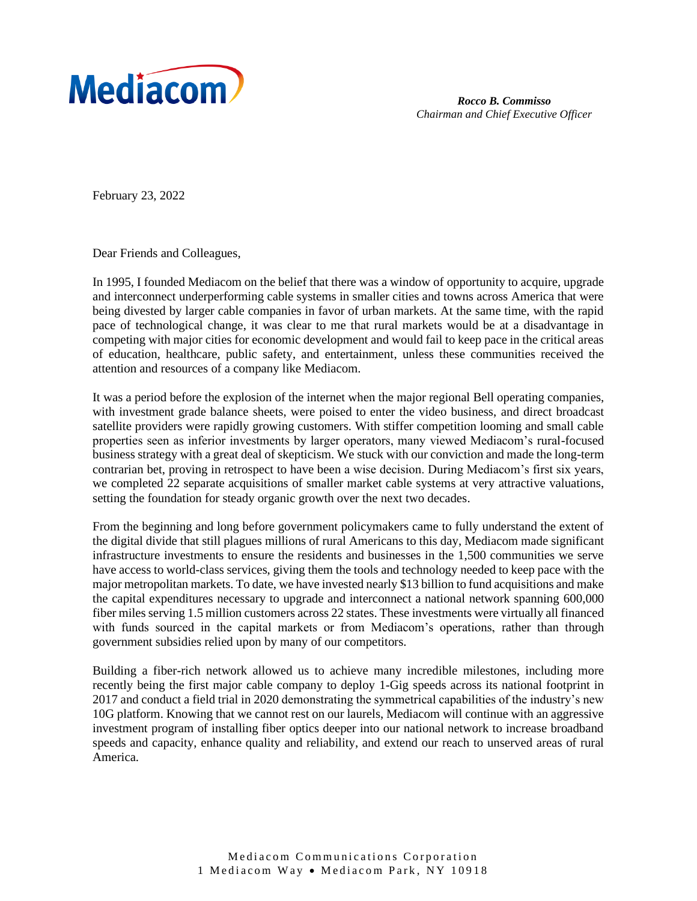

*Rocco B. Commisso Chairman and Chief Executive Officer*

February 23, 2022

Dear Friends and Colleagues,

In 1995, I founded Mediacom on the belief that there was a window of opportunity to acquire, upgrade and interconnect underperforming cable systems in smaller cities and towns across America that were being divested by larger cable companies in favor of urban markets. At the same time, with the rapid pace of technological change, it was clear to me that rural markets would be at a disadvantage in competing with major cities for economic development and would fail to keep pace in the critical areas of education, healthcare, public safety, and entertainment, unless these communities received the attention and resources of a company like Mediacom.

It was a period before the explosion of the internet when the major regional Bell operating companies, with investment grade balance sheets, were poised to enter the video business, and direct broadcast satellite providers were rapidly growing customers. With stiffer competition looming and small cable properties seen as inferior investments by larger operators, many viewed Mediacom's rural-focused business strategy with a great deal of skepticism. We stuck with our conviction and made the long-term contrarian bet, proving in retrospect to have been a wise decision. During Mediacom's first six years, we completed 22 separate acquisitions of smaller market cable systems at very attractive valuations, setting the foundation for steady organic growth over the next two decades.

From the beginning and long before government policymakers came to fully understand the extent of the digital divide that still plagues millions of rural Americans to this day, Mediacom made significant infrastructure investments to ensure the residents and businesses in the 1,500 communities we serve have access to world-class services, giving them the tools and technology needed to keep pace with the major metropolitan markets. To date, we have invested nearly \$13 billion to fund acquisitions and make the capital expenditures necessary to upgrade and interconnect a national network spanning 600,000 fiber miles serving 1.5 million customers across 22 states. These investments were virtually all financed with funds sourced in the capital markets or from Mediacom's operations, rather than through government subsidies relied upon by many of our competitors.

Building a fiber-rich network allowed us to achieve many incredible milestones, including more recently being the first major cable company to deploy 1-Gig speeds across its national footprint in 2017 and conduct a field trial in 2020 demonstrating the symmetrical capabilities of the industry's new 10G platform. Knowing that we cannot rest on our laurels, Mediacom will continue with an aggressive investment program of installing fiber optics deeper into our national network to increase broadband speeds and capacity, enhance quality and reliability, and extend our reach to unserved areas of rural America.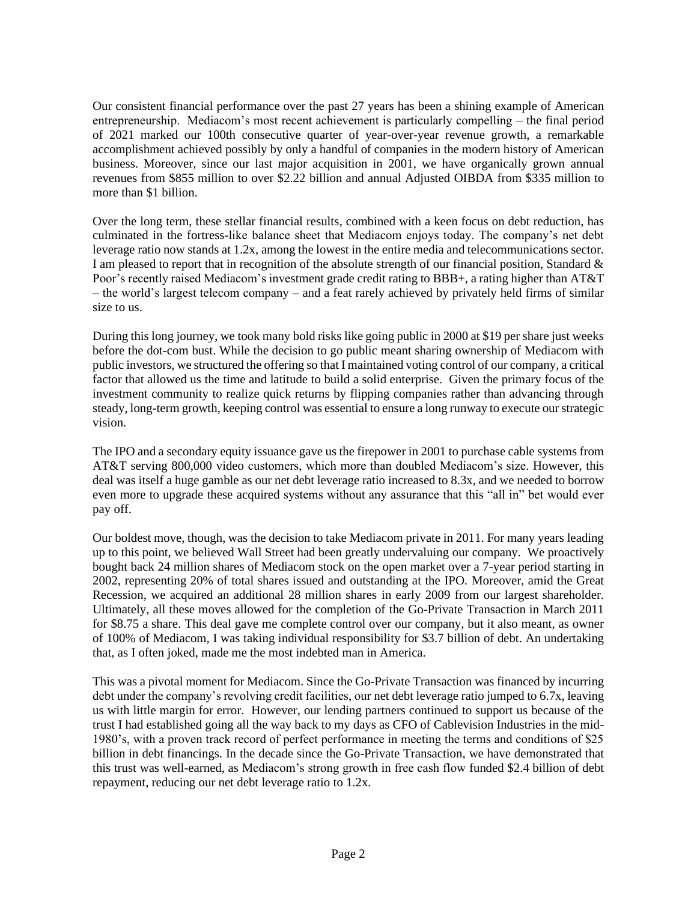Our consistent financial performance over the past 27 years has been a shining example of American entrepreneurship. Mediacom's most recent achievement is particularly compelling – the final period of 2021 marked our 100th consecutive quarter of year-over-year revenue growth, a remarkable accomplishment achieved possibly by only a handful of companies in the modern history of American business. Moreover, since our last major acquisition in 2001, we have organically grown annual revenues from \$855 million to over \$2.22 billion and annual Adjusted OIBDA from \$335 million to more than \$1 billion.

Over the long term, these stellar financial results, combined with a keen focus on debt reduction, has culminated in the fortress-like balance sheet that Mediacom enjoys today. The company's net debt leverage ratio now stands at 1.2x, among the lowest in the entire media and telecommunications sector. I am pleased to report that in recognition of the absolute strength of our financial position, Standard  $\&$ Poor's recently raised Mediacom's investment grade credit rating to BBB+, a rating higher than AT&T – the world's largest telecom company – and a feat rarely achieved by privately held firms of similar size to us.

During this long journey, we took many bold risks like going public in 2000 at \$19 per share just weeks before the dot-com bust. While the decision to go public meant sharing ownership of Mediacom with public investors, we structured the offering so that I maintained voting control of our company, a critical factor that allowed us the time and latitude to build a solid enterprise. Given the primary focus of the investment community to realize quick returns by flipping companies rather than advancing through steady, long-term growth, keeping control was essential to ensure a long runway to execute our strategic vision.

The IPO and a secondary equity issuance gave us the firepower in 2001 to purchase cable systems from AT&T serving 800,000 video customers, which more than doubled Mediacom's size. However, this deal was itself a huge gamble as our net debt leverage ratio increased to 8.3x, and we needed to borrow even more to upgrade these acquired systems without any assurance that this "all in" bet would ever pay off.

Our boldest move, though, was the decision to take Mediacom private in 2011. For many years leading up to this point, we believed Wall Street had been greatly undervaluing our company. We proactively bought back 24 million shares of Mediacom stock on the open market over a 7-year period starting in 2002, representing 20% of total shares issued and outstanding at the IPO. Moreover, amid the Great Recession, we acquired an additional 28 million shares in early 2009 from our largest shareholder. Ultimately, all these moves allowed for the completion of the Go-Private Transaction in March 2011 for \$8.75 a share. This deal gave me complete control over our company, but it also meant, as owner of 100% of Mediacom, I was taking individual responsibility for \$3.7 billion of debt. An undertaking that, as I often joked, made me the most indebted man in America.

This was a pivotal moment for Mediacom. Since the Go-Private Transaction was financed by incurring debt under the company's revolving credit facilities, our net debt leverage ratio jumped to 6.7x, leaving us with little margin for error. However, our lending partners continued to support us because of the trust I had established going all the way back to my days as CFO of Cablevision Industries in the mid-1980's, with a proven track record of perfect performance in meeting the terms and conditions of \$25 billion in debt financings. In the decade since the Go-Private Transaction, we have demonstrated that this trust was well-earned, as Mediacom's strong growth in free cash flow funded \$2.4 billion of debt repayment, reducing our net debt leverage ratio to 1.2x.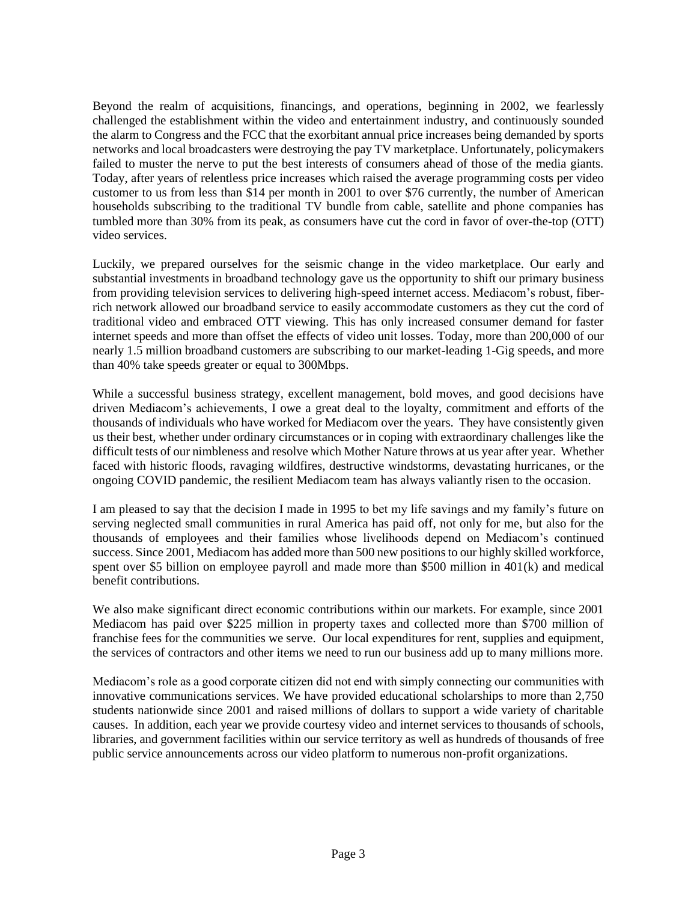Beyond the realm of acquisitions, financings, and operations, beginning in 2002, we fearlessly challenged the establishment within the video and entertainment industry, and continuously sounded the alarm to Congress and the FCC that the exorbitant annual price increases being demanded by sports networks and local broadcasters were destroying the pay TV marketplace. Unfortunately, policymakers failed to muster the nerve to put the best interests of consumers ahead of those of the media giants. Today, after years of relentless price increases which raised the average programming costs per video customer to us from less than \$14 per month in 2001 to over \$76 currently, the number of American households subscribing to the traditional TV bundle from cable, satellite and phone companies has tumbled more than 30% from its peak, as consumers have cut the cord in favor of over-the-top (OTT) video services.

Luckily, we prepared ourselves for the seismic change in the video marketplace. Our early and substantial investments in broadband technology gave us the opportunity to shift our primary business from providing television services to delivering high-speed internet access. Mediacom's robust, fiberrich network allowed our broadband service to easily accommodate customers as they cut the cord of traditional video and embraced OTT viewing. This has only increased consumer demand for faster internet speeds and more than offset the effects of video unit losses. Today, more than 200,000 of our nearly 1.5 million broadband customers are subscribing to our market-leading 1-Gig speeds, and more than 40% take speeds greater or equal to 300Mbps.

While a successful business strategy, excellent management, bold moves, and good decisions have driven Mediacom's achievements, I owe a great deal to the loyalty, commitment and efforts of the thousands of individuals who have worked for Mediacom over the years. They have consistently given us their best, whether under ordinary circumstances or in coping with extraordinary challenges like the difficult tests of our nimbleness and resolve which Mother Nature throws at us year after year. Whether faced with historic floods, ravaging wildfires, destructive windstorms, devastating hurricanes, or the ongoing COVID pandemic, the resilient Mediacom team has always valiantly risen to the occasion.

I am pleased to say that the decision I made in 1995 to bet my life savings and my family's future on serving neglected small communities in rural America has paid off, not only for me, but also for the thousands of employees and their families whose livelihoods depend on Mediacom's continued success. Since 2001, Mediacom has added more than 500 new positions to our highly skilled workforce, spent over \$5 billion on employee payroll and made more than \$500 million in 401(k) and medical benefit contributions.

We also make significant direct economic contributions within our markets. For example, since 2001 Mediacom has paid over \$225 million in property taxes and collected more than \$700 million of franchise fees for the communities we serve. Our local expenditures for rent, supplies and equipment, the services of contractors and other items we need to run our business add up to many millions more.

Mediacom's role as a good corporate citizen did not end with simply connecting our communities with innovative communications services. We have provided educational scholarships to more than 2,750 students nationwide since 2001 and raised millions of dollars to support a wide variety of charitable causes. In addition, each year we provide courtesy video and internet services to thousands of schools, libraries, and government facilities within our service territory as well as hundreds of thousands of free public service announcements across our video platform to numerous non-profit organizations.